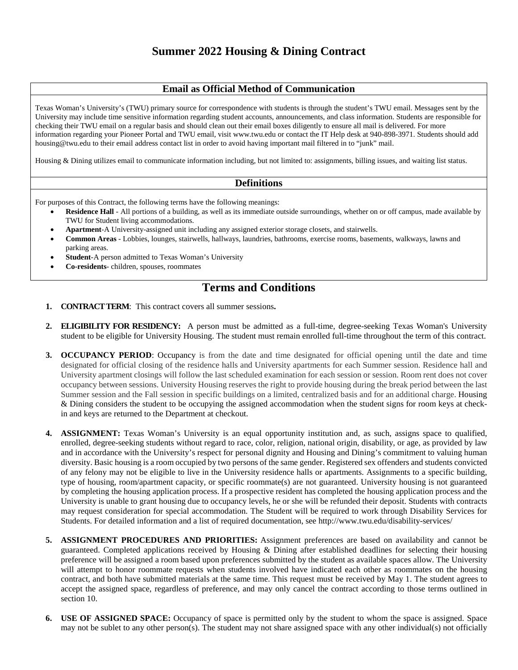## **Email as Official Method of Communication**

Texas Woman's University's (TWU) primary source for correspondence with students is through the student's TWU email. Messages sent by the University may include time sensitive information regarding student accounts, announcements, and class information. Students are responsible for checking their TWU email on a regular basis and should clean out their email boxes diligently to ensure all mail is delivered. For more information regarding your Pioneer Portal and TWU email, visit www.twu.edu or contact the IT Help desk at 940-898-3971. Students should add housing@twu.edu to their email address contact list in order to avoid having important mail filtered in to "junk" mail.

Housing & Dining utilizes email to communicate information including, but not limited to: assignments, billing issues, and waiting list status.

## **Definitions**

For purposes of this Contract, the following terms have the following meanings:

- **Residence Hall** All portions of a building, as well as its immediate outside surroundings, whether on or off campus, made available by TWU for Student living accommodations.
- **Apartment**-A University-assigned unit including any assigned exterior storage closets, and stairwells.
- **Common Areas** Lobbies, lounges, stairwells, hallways, laundries, bathrooms, exercise rooms, basements, walkways, lawns and parking areas.
- **Student**-A person admitted to Texas Woman's University
- **Co-residents** children, spouses, roommates

## **Terms and Conditions**

- **1. CONTRACT TERM**: This contract covers all summer sessions**.**
- **2. ELIGIBILITY FOR RESIDENCY:** A person must be admitted as a full-time, degree-seeking Texas Woman's University student to be eligible for University Housing. The student must remain enrolled full-time throughout the term of this contract.
- **3. OCCUPANCY PERIOD**: Occupancy is from the date and time designated for official opening until the date and time designated for official closing of the residence halls and University apartments for each Summer session. Residence hall and University apartment closings will follow the last scheduled examination for each session or session. Room rent does not cover occupancy between sessions. University Housing reserves the right to provide housing during the break period between the last Summer session and the Fall session in specific buildings on a limited, centralized basis and for an additional charge. Housing & Dining considers the student to be occupying the assigned accommodation when the student signs for room keys at checkin and keys are returned to the Department at checkout.
- **4. ASSIGNMENT:** Texas Woman's University is an equal opportunity institution and, as such, assigns space to qualified, enrolled, degree-seeking students without regard to race, color, religion, national origin, disability, or age, as provided by law and in accordance with the University's respect for personal dignity and Housing and Dining's commitment to valuing human diversity. Basic housing is a room occupied by two persons of the same gender. Registered sex offenders and students convicted of any felony may not be eligible to live in the University residence halls or apartments. Assignments to a specific building, type of housing, room/apartment capacity, or specific roommate(s) are not guaranteed. University housing is not guaranteed by completing the housing application process. If a prospective resident has completed the housing application process and the University is unable to grant housing due to occupancy levels, he or she will be refunded their deposit. Students with contracts may request consideration for special accommodation. The Student will be required to work through Disability Services for Students. For detailed information and a list of required documentation, se[e http://www.twu.edu/disability-services/](http://www.twu.edu/disability-services/)
- **5. ASSIGNMENT PROCEDURES AND PRIORITIES:** Assignment preferences are based on availability and cannot be guaranteed. Completed applications received by Housing & Dining after established deadlines for selecting their housing preference will be assigned a room based upon preferences submitted by the student as available spaces allow. The University will attempt to honor roommate requests when students involved have indicated each other as roommates on the housing contract, and both have submitted materials at the same time. This request must be received by May 1. The student agrees to accept the assigned space, regardless of preference, and may only cancel the contract according to those terms outlined in section 10.
- **6. USE OF ASSIGNED SPACE:** Occupancy of space is permitted only by the student to whom the space is assigned. Space may not be sublet to any other person(s). The student may not share assigned space with any other individual(s) not officially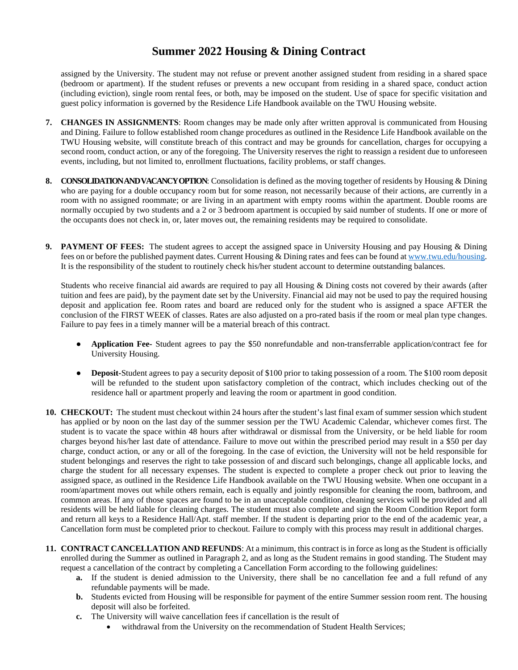assigned by the University. The student may not refuse or prevent another assigned student from residing in a shared space (bedroom or apartment). If the student refuses or prevents a new occupant from residing in a shared space, conduct action (including eviction), single room rental fees, or both, may be imposed on the student. Use of space for specific visitation and guest policy information is governed by the Residence Life Handbook available on the TWU Housing website.

- **7. CHANGES IN ASSIGNMENTS**: Room changes may be made only after written approval is communicated from Housing and Dining. Failure to follow established room change procedures as outlined in the Residence Life Handbook available on the TWU Housing website, will constitute breach of this contract and may be grounds for cancellation, charges for occupying a second room, conduct action, or any of the foregoing. The University reserves the right to reassign a resident due to unforeseen events, including, but not limited to, enrollment fluctuations, facility problems, or staff changes.
- **8. CONSOLIDATION AND VACANCY OPTION**: Consolidation is defined as the moving together of residents by Housing & Dining who are paying for a double occupancy room but for some reason, not necessarily because of their actions, are currently in a room with no assigned roommate; or are living in an apartment with empty rooms within the apartment. Double rooms are normally occupied by two students and a 2 or 3 bedroom apartment is occupied by said number of students. If one or more of the occupants does not check in, or, later moves out, the remaining residents may be required to consolidate.
- **9. PAYMENT OF FEES:** The student agrees to accept the assigned space in University Housing and pay Housing & Dining fees on or before the published payment dates. Current Housing & Dining rates and fees can be found at [www.twu.edu/housing.](http://www.twu.edu/housing) It is the responsibility of the student to routinely check his/her student account to determine outstanding balances.

Students who receive financial aid awards are required to pay all Housing & Dining costs not covered by their awards (after tuition and fees are paid), by the payment date set by the University. Financial aid may not be used to pay the required housing deposit and application fee. Room rates and board are reduced only for the student who is assigned a space AFTER the conclusion of the FIRST WEEK of classes. Rates are also adjusted on a pro-rated basis if the room or meal plan type changes. Failure to pay fees in a timely manner will be a material breach of this contract.

- **Application Fee-** Student agrees to pay the \$50 nonrefundable and non-transferrable application/contract fee for University Housing.
- **Deposit-**Student agrees to pay a security deposit of \$100 prior to taking possession of a room. The \$100 room deposit will be refunded to the student upon satisfactory completion of the contract, which includes checking out of the residence hall or apartment properly and leaving the room or apartment in good condition.
- **10. CHECKOUT:** The student must checkout within 24 hours after the student's last final exam of summer session which student has applied or by noon on the last day of the summer session per the TWU Academic Calendar, whichever comes first. The student is to vacate the space within 48 hours after withdrawal or dismissal from the University, or be held liable for room charges beyond his/her last date of attendance. Failure to move out within the prescribed period may result in a \$50 per day charge, conduct action, or any or all of the foregoing. In the case of eviction, the University will not be held responsible for student belongings and reserves the right to take possession of and discard such belongings, change all applicable locks, and charge the student for all necessary expenses. The student is expected to complete a proper check out prior to leaving the assigned space, as outlined in the Residence Life Handbook available on the TWU Housing website. When one occupant in a room/apartment moves out while others remain, each is equally and jointly responsible for cleaning the room, bathroom, and common areas. If any of those spaces are found to be in an unacceptable condition, cleaning services will be provided and all residents will be held liable for cleaning charges. The student must also complete and sign the Room Condition Report form and return all keys to a Residence Hall/Apt. staff member. If the student is departing prior to the end of the academic year, a Cancellation form must be completed prior to checkout. Failure to comply with this process may result in additional charges.
- **11. CONTRACT CANCELLATION AND REFUNDS**: At a minimum, this contract is in force as long as the Student is officially enrolled during the Summer as outlined in Paragraph 2, and as long as the Student remains in good standing. The Student may request a cancellation of the contract by completing a Cancellation Form according to the following guidelines:
	- **a.** If the student is denied admission to the University, there shall be no cancellation fee and a full refund of any refundable payments will be made.
	- **b.** Students evicted from Housing will be responsible for payment of the entire Summer session room rent. The housing deposit will also be forfeited.
	- **c.** The University will waive cancellation fees if cancellation is the result of
		- withdrawal from the University on the recommendation of Student Health Services;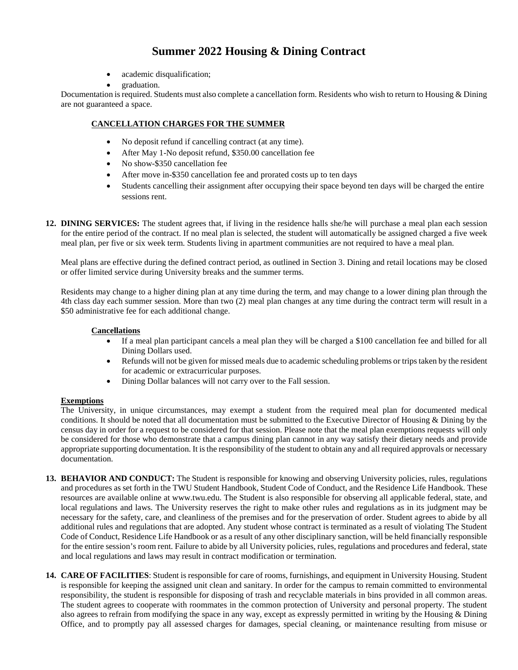- academic disqualification;
- graduation.

Documentation is required. Students must also complete a cancellation form. Residents who wish to return to Housing & Dining are not guaranteed a space.

#### **CANCELLATION CHARGES FOR THE SUMMER**

- No deposit refund if cancelling contract (at any time).
- After May 1-No deposit refund, \$350.00 cancellation fee
- No show-\$350 cancellation fee
- After move in-\$350 cancellation fee and prorated costs up to ten days
- Students cancelling their assignment after occupying their space beyond ten days will be charged the entire sessions rent.
- **12. DINING SERVICES:** The student agrees that, if living in the residence halls she/he will purchase a meal plan each session for the entire period of the contract. If no meal plan is selected, the student will automatically be assigned charged a five week meal plan, per five or six week term. Students living in apartment communities are not required to have a meal plan.

Meal plans are effective during the defined contract period, as outlined in Section 3. Dining and retail locations may be closed or offer limited service during University breaks and the summer terms.

Residents may change to a higher dining plan at any time during the term, and may change to a lower dining plan through the 4th class day each summer session. More than two (2) meal plan changes at any time during the contract term will result in a \$50 administrative fee for each additional change.

#### **Cancellations**

- If a meal plan participant cancels a meal plan they will be charged a \$100 cancellation fee and billed for all Dining Dollars used.
- Refunds will not be given for missed meals due to academic scheduling problems or trips taken by the resident for academic or extracurricular purposes.
- Dining Dollar balances will not carry over to the Fall session.

#### **Exemptions**

The University, in unique circumstances, may exempt a student from the required meal plan for documented medical conditions. It should be noted that all documentation must be submitted to the Executive Director of Housing & Dining by the census day in order for a request to be considered for that session. Please note that the meal plan exemptions requests will only be considered for those who demonstrate that a campus dining plan cannot in any way satisfy their dietary needs and provide appropriate supporting documentation. It is the responsibility of the student to obtain any and all required approvals or necessary documentation.

- **13. BEHAVIOR AND CONDUCT:** The Student is responsible for knowing and observing University policies, rules, regulations and procedures as set forth in the TWU Student Handbook, Student Code of Conduct, and the Residence Life Handbook. These resources are available online at www.twu.edu. The Student is also responsible for observing all applicable federal, state, and local regulations and laws. The University reserves the right to make other rules and regulations as in its judgment may be necessary for the safety, care, and cleanliness of the premises and for the preservation of order. Student agrees to abide by all additional rules and regulations that are adopted. Any student whose contract is terminated as a result of violating The Student Code of Conduct, Residence Life Handbook or as a result of any other disciplinary sanction, will be held financially responsible for the entire session's room rent. Failure to abide by all University policies, rules, regulations and procedures and federal, state and local regulations and laws may result in contract modification or termination.
- **14. CARE OF FACILITIES**: Student is responsible for care of rooms, furnishings, and equipment in University Housing. Student is responsible for keeping the assigned unit clean and sanitary. In order for the campus to remain committed to environmental responsibility, the student is responsible for disposing of trash and recyclable materials in bins provided in all common areas. The student agrees to cooperate with roommates in the common protection of University and personal property. The student also agrees to refrain from modifying the space in any way, except as expressly permitted in writing by the Housing & Dining Office, and to promptly pay all assessed charges for damages, special cleaning, or maintenance resulting from misuse or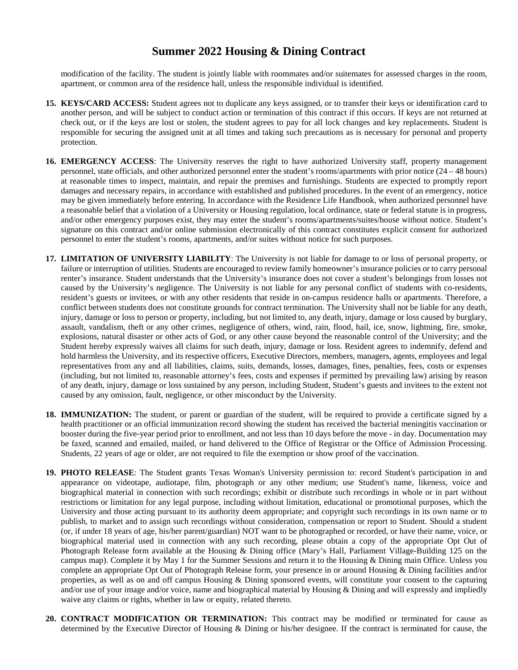modification of the facility. The student is jointly liable with roommates and/or suitemates for assessed charges in the room, apartment, or common area of the residence hall, unless the responsible individual is identified.

- **15. KEYS/CARD ACCESS:** Student agrees not to duplicate any keys assigned, or to transfer their keys or identification card to another person, and will be subject to conduct action or termination of this contract if this occurs. If keys are not returned at check out, or if the keys are lost or stolen, the student agrees to pay for all lock changes and key replacements. Student is responsible for securing the assigned unit at all times and taking such precautions as is necessary for personal and property protection.
- **16. EMERGENCY ACCESS**: The University reserves the right to have authorized University staff, property management personnel, state officials, and other authorized personnel enter the student's rooms/apartments with prior notice (24 – 48 hours) at reasonable times to inspect, maintain, and repair the premises and furnishings. Students are expected to promptly report damages and necessary repairs, in accordance with established and published procedures. In the event of an emergency, notice may be given immediately before entering. In accordance with the Residence Life Handbook, when authorized personnel have a reasonable belief that a violation of a University or Housing regulation, local ordinance, state or federal statute is in progress, and/or other emergency purposes exist, they may enter the student's rooms/apartments/suites/house without notice. Student's signature on this contract and/or online submission electronically of this contract constitutes explicit consent for authorized personnel to enter the student's rooms, apartments, and/or suites without notice for such purposes.
- **17. LIMITATION OF UNIVERSITY LIABILITY**: The University is not liable for damage to or loss of personal property, or failure or interruption of utilities. Students are encouraged to review family homeowner's insurance policies or to carry personal renter's insurance. Student understands that the University's insurance does not cover a student's belongings from losses not caused by the University's negligence. The University is not liable for any personal conflict of students with co-residents, resident's guests or invitees, or with any other residents that reside in on-campus residence halls or apartments. Therefore, a conflict between students does not constitute grounds for contract termination. The University shall not be liable for any death, injury, damage or loss to person or property, including, but not limited to, any death, injury, damage or loss caused by burglary, assault, vandalism, theft or any other crimes, negligence of others, wind, rain, flood, hail, ice, snow, lightning, fire, smoke, explosions, natural disaster or other acts of God, or any other cause beyond the reasonable control of the University; and the Student hereby expressly waives all claims for such death, injury, damage or loss. Resident agrees to indemnify, defend and hold harmless the University, and its respective officers, Executive Directors, members, managers, agents, employees and legal representatives from any and all liabilities, claims, suits, demands, losses, damages, fines, penalties, fees, costs or expenses (including, but not limited to, reasonable attorney's fees, costs and expenses if permitted by prevailing law) arising by reason of any death, injury, damage or loss sustained by any person, including Student, Student's guests and invitees to the extent not caused by any omission, fault, negligence, or other misconduct by the University.
- 18. **IMMUNIZATION:** The student, or parent or guardian of the student, will be required to provide a certificate signed by a health practitioner or an official immunization record showing the student has received the bacterial meningitis vaccination or booster during the five-year period prior to enrollment, and not less than 10 days before the move - in day. Documentation may be faxed, scanned and emailed, mailed, or hand delivered to the Office of Registrar or the Office of Admission Processing. Students, 22 years of age or older, are not required to file the exemption or show proof of the vaccination.
- **19. PHOTO RELEASE**: The Student grants Texas Woman's University permission to: record Student's participation in and appearance on videotape, audiotape, film, photograph or any other medium; use Student's name, likeness, voice and biographical material in connection with such recordings; exhibit or distribute such recordings in whole or in part without restrictions or limitation for any legal purpose, including without limitation, educational or promotional purposes, which the University and those acting pursuant to its authority deem appropriate; and copyright such recordings in its own name or to publish, to market and to assign such recordings without consideration, compensation or report to Student. Should a student (or, if under 18 years of age, his/her parent/guardian) NOT want to be photographed or recorded, or have their name, voice, or biographical material used in connection with any such recording, please obtain a copy of the appropriate Opt Out of Photograph Release form available at the Housing & Dining office (Mary's Hall, Parliament Village-Building 125 on the campus map). Complete it by May 1 for the Summer Sessions and return it to the Housing & Dining main Office. Unless you complete an appropriate Opt Out of Photograph Release form, your presence in or around Housing & Dining facilities and/or properties, as well as on and off campus Housing & Dining sponsored events, will constitute your consent to the capturing and/or use of your image and/or voice, name and biographical material by Housing & Dining and will expressly and impliedly waive any claims or rights, whether in law or equity, related thereto.
- **20. CONTRACT MODIFICATION OR TERMINATION:** This contract may be modified or terminated for cause as determined by the Executive Director of Housing & Dining or his/her designee. If the contract is terminated for cause, the